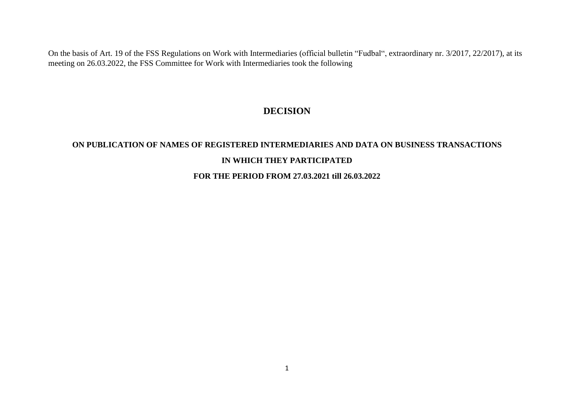On the basis of Art. 19 of the FSS Regulations on Work with Intermediaries (official bulletin "Fudbal", extraordinary nr. 3/2017, 22/2017), at its meeting on 26.03.2022, the FSS Committee for Work with Intermediaries took the following

## **DECISION**

## **ON PUBLICATION OF NAMES OF REGISTERED INTERMEDIARIES AND DATA ON BUSINESS TRANSACTIONS IN WHICH THEY PARTICIPATED**

## **FOR THE PERIOD FROM 27.03.2021 till 26.03.2022**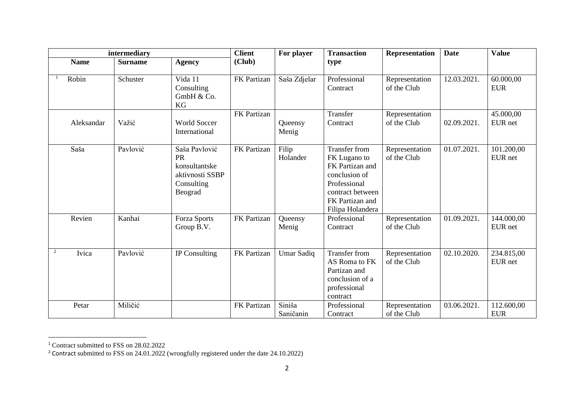| intermediary   |             |                |                                                                                         | <b>Client</b> | For player          | <b>Transaction</b>                                                                                                                                  | <b>Representation</b>         | <b>Date</b> | <b>Value</b>             |
|----------------|-------------|----------------|-----------------------------------------------------------------------------------------|---------------|---------------------|-----------------------------------------------------------------------------------------------------------------------------------------------------|-------------------------------|-------------|--------------------------|
|                | <b>Name</b> | <b>Surname</b> | <b>Agency</b>                                                                           | (Club)        |                     | type                                                                                                                                                |                               |             |                          |
|                | Robin       | Schuster       | Vida 11<br>Consulting<br>GmbH & Co.<br>KG                                               | FK Partizan   | Saša Zdjelar        | Professional<br>Contract                                                                                                                            | Representation<br>of the Club | 12.03.2021. | 60.000,00<br><b>EUR</b>  |
|                | Aleksandar  | Važić          | <b>World Soccer</b><br>International                                                    | FK Partizan   | Queensy<br>Menig    | Transfer<br>Contract                                                                                                                                | Representation<br>of the Club | 02.09.2021. | 45.000,00<br>EUR net     |
|                | Saša        | Pavlović       | Saša Pavlović<br><b>PR</b><br>konsultantske<br>aktivnosti SSBP<br>Consulting<br>Beograd | FK Partizan   | Filip<br>Holander   | <b>Transfer from</b><br>FK Lugano to<br>FK Partizan and<br>conclusion of<br>Professional<br>contract between<br>FK Partizan and<br>Filipa Holandera | Representation<br>of the Club | 01.07.2021. | 101.200,00<br>EUR net    |
|                | Revien      | Kanhai         | Forza Sports<br>Group B.V.                                                              | FK Partizan   | Queensy<br>Menig    | Professional<br>Contract                                                                                                                            | Representation<br>of the Club | 01.09.2021. | 144.000,00<br>EUR net    |
| $\overline{c}$ | Ivica       | Pavlović       | IP Consulting                                                                           | FK Partizan   | <b>Umar Sadiq</b>   | <b>Transfer from</b><br>AS Roma to FK<br>Partizan and<br>conclusion of a<br>professional<br>contract                                                | Representation<br>of the Club | 02.10.2020. | 234.815,00<br>EUR net    |
|                | Petar       | Miličić        |                                                                                         | FK Partizan   | Siniša<br>Saničanin | Professional<br>Contract                                                                                                                            | Representation<br>of the Club | 03.06.2021. | 112.600,00<br><b>EUR</b> |

<sup>1</sup> Contract submitted to FSS on 28.02.2022

<sup>&</sup>lt;sup>2</sup> Contract submitted to FSS on 24.01.2022 (wrongfully registered under the date  $24.10.2022$ )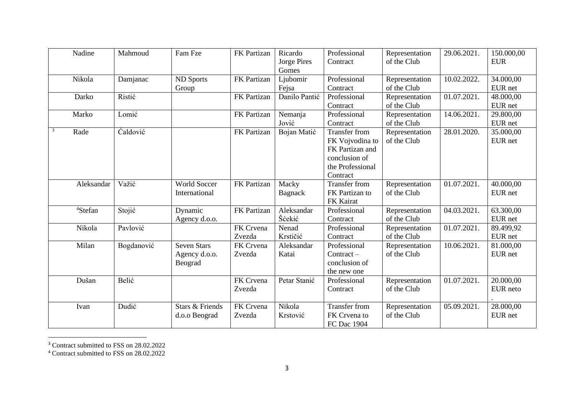| Nadine              | Mahmoud    | Fam Fze                                        | FK Partizan         | Ricardo<br>Jorge Pires<br>Gomes | Professional<br>Contract                                                                                    | Representation<br>of the Club | 29.06.2021. | 150.000,00<br><b>EUR</b> |
|---------------------|------------|------------------------------------------------|---------------------|---------------------------------|-------------------------------------------------------------------------------------------------------------|-------------------------------|-------------|--------------------------|
| Nikola              | Damjanac   | <b>ND Sports</b><br>Group                      | FK Partizan         | Ljubomir<br>Fejsa               | Professional<br>Contract                                                                                    | Representation<br>of the Club | 10.02.2022. | 34.000,00<br>EUR net     |
| Darko               | Ristić     |                                                | FK Partizan         | Danilo Pantić                   | Professional<br>Contract                                                                                    | Representation<br>of the Club | 01.07.2021. | 48.000,00<br>EUR net     |
| Marko               | Lomić      |                                                | FK Partizan         | Nemanja<br>Jović                | Professional<br>Contract                                                                                    | Representation<br>of the Club | 14.06.2021. | 29.800,00<br>EUR net     |
| 3<br>Rade           | Caldović   |                                                | FK Partizan         | Bojan Matić                     | <b>Transfer from</b><br>FK Vojvodina to<br>FK Partizan and<br>conclusion of<br>the Professional<br>Contract | Representation<br>of the Club | 28.01.2020. | 35.000,00<br>EUR net     |
| Aleksandar          | Važić      | <b>World Soccer</b><br>International           | FK Partizan         | Macky<br>Bagnack                | <b>Transfer from</b><br>FK Partizan to<br>FK Kairat                                                         | Representation<br>of the Club | 01.07.2021. | 40.000,00<br>EUR net     |
| <sup>4</sup> Stefan | Stojić     | Dynamic<br>Agency d.o.o.                       | FK Partizan         | Aleksandar<br>Šćekić            | Professional<br>Contract                                                                                    | Representation<br>of the Club | 04.03.2021. | 63.300,00<br>EUR net     |
| Nikola              | Pavlović   |                                                | FK Crvena<br>Zvezda | Nenad<br>Krstičić               | Professional<br>Contract                                                                                    | Representation<br>of the Club | 01.07.2021. | 89.499,92<br>EUR net     |
| Milan               | Bogdanović | <b>Seven Stars</b><br>Agency d.o.o.<br>Beograd | FK Crvena<br>Zvezda | Aleksandar<br>Katai             | Professional<br>$Contract -$<br>conclusion of<br>the new one                                                | Representation<br>of the Club | 10.06.2021. | 81.000,00<br>EUR net     |
| Dušan               | Belić      |                                                | FK Crvena<br>Zvezda | Petar Stanić                    | Professional<br>Contract                                                                                    | Representation<br>of the Club | 01.07.2021. | 20.000,00<br>EUR neto    |
| Ivan                | Dudić      | <b>Stars &amp; Friends</b><br>d.o.o Beograd    | FK Crvena<br>Zvezda | Nikola<br>Krstović              | <b>Transfer from</b><br>FK Crvena to<br>FC Dac 1904                                                         | Representation<br>of the Club | 05.09.2021. | 28.000,00<br>EUR net     |

<sup>3</sup> Contract submitted to FSS on 28.02.2022

<sup>4</sup> Contract submitted to FSS on 28.02.2022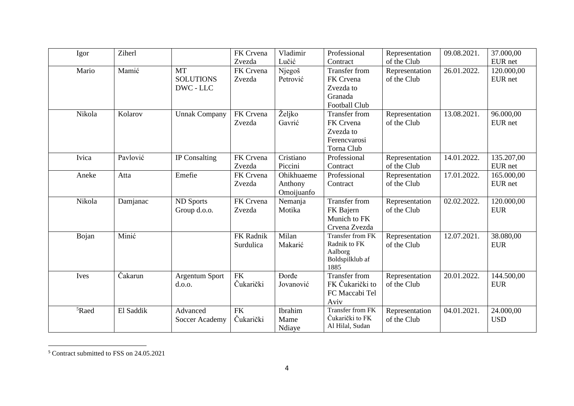| Igor              | Ziherl    |                                            | FK Crvena<br>Zvezda    | Vladimir<br>Lučić                   | Professional<br>Contract                                                          | Representation<br>of the Club | 09.08.2021. | 37.000,00<br>EUR net     |
|-------------------|-----------|--------------------------------------------|------------------------|-------------------------------------|-----------------------------------------------------------------------------------|-------------------------------|-------------|--------------------------|
| Mario             | Mamić     | <b>MT</b><br><b>SOLUTIONS</b><br>DWC - LLC | FK Crvena<br>Zvezda    | Njegoš<br>Petrović                  | <b>Transfer from</b><br>FK Crvena<br>Zvezda to<br>Granada<br><b>Football Club</b> | Representation<br>of the Club | 26.01.2022. | 120.000,00<br>EUR net    |
| Nikola            | Kolarov   | <b>Unnak Company</b>                       | FK Crvena<br>Zvezda    | Željko<br>Gavrić                    | <b>Transfer from</b><br>FK Crvena<br>Zvezda to<br>Ferencvarosi<br>Torna Club      | Representation<br>of the Club | 13.08.2021. | 96.000,00<br>EUR net     |
| Ivica             | Pavlović  | IP Consalting                              | FK Crvena<br>Zvezda    | Cristiano<br>Piccini                | Professional<br>Contract                                                          | Representation<br>of the Club | 14.01.2022. | 135.207,00<br>EUR net    |
| Aneke             | Atta      | Emefie                                     | FK Crvena<br>Zvezda    | Ohikhuaeme<br>Anthony<br>Omoijuanfo | Professional<br>Contract                                                          | Representation<br>of the Club | 17.01.2022. | 165.000,00<br>EUR net    |
| Nikola            | Damjanac  | <b>ND Sports</b><br>Group d.o.o.           | FK Crvena<br>Zvezda    | Nemanja<br>Motika                   | <b>Transfer from</b><br>FK Bajern<br>Munich to FK<br>Crvena Zvezda                | Representation<br>of the Club | 02.02.2022. | 120.000,00<br><b>EUR</b> |
| Bojan             | Minić     |                                            | FK Radnik<br>Surdulica | Milan<br>Makarić                    | Transfer from FK<br>Radnik to FK<br>Aalborg<br>Boldspilklub af<br>1885            | Representation<br>of the Club | 12.07.2021. | 38.080,00<br><b>EUR</b>  |
| Ives              | Čakarun   | Argentum Sport<br>d.o.o.                   | <b>FK</b><br>Čukarički | <b>Dorde</b><br>Jovanović           | <b>Transfer from</b><br>FK Čukarički to<br>FC Maccabi Tel<br>Aviv                 | Representation<br>of the Club | 20.01.2022. | 144.500,00<br><b>EUR</b> |
| <sup>5</sup> Raed | El Saddik | Advanced<br>Soccer Academy                 | <b>FK</b><br>Čukarički | Ibrahim<br>Mame<br>Ndiaye           | <b>Transfer from FK</b><br>Čukarički to FK<br>Al Hilal, Sudan                     | Representation<br>of the Club | 04.01.2021. | 24.000,00<br><b>USD</b>  |

<sup>5</sup> Contract submitted to FSS on 24.05.2021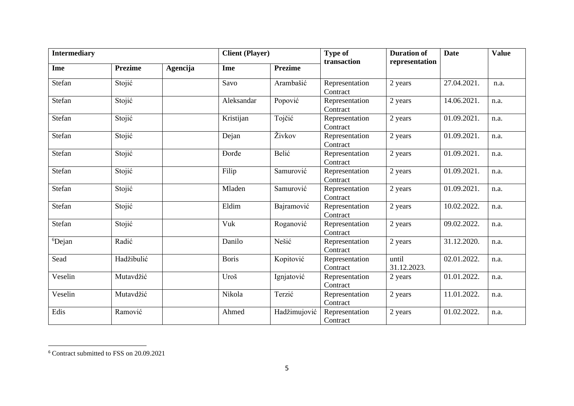| <b>Intermediary</b> |                |          | <b>Client</b> (Player) |                | <b>Type of</b>             | <b>Duration of</b>   | <b>Date</b> | <b>Value</b> |
|---------------------|----------------|----------|------------------------|----------------|----------------------------|----------------------|-------------|--------------|
| Ime                 | <b>Prezime</b> | Agencija | Ime                    | <b>Prezime</b> | transaction                | representation       |             |              |
| Stefan              | Stojić         |          | Savo                   | Arambašić      | Representation<br>Contract | 2 years              | 27.04.2021. | n.a.         |
| Stefan              | Stojić         |          | Aleksandar             | Popović        | Representation<br>Contract | 2 years              | 14.06.2021. | n.a.         |
| Stefan              | Stojić         |          | Kristijan              | Tojčić         | Representation<br>Contract | 2 years              | 01.09.2021. | n.a.         |
| Stefan              | Stojić         |          | Dejan                  | Živkov         | Representation<br>Contract | 2 years              | 01.09.2021. | n.a.         |
| Stefan              | Stojić         |          | <b>Dorde</b>           | Belić          | Representation<br>Contract | 2 years              | 01.09.2021. | n.a.         |
| Stefan              | Stojić         |          | Filip                  | Samurović      | Representation<br>Contract | 2 years              | 01.09.2021. | n.a.         |
| Stefan              | Stojić         |          | Mladen                 | Samurović      | Representation<br>Contract | 2 years              | 01.09.2021. | n.a.         |
| Stefan              | Stojić         |          | Eldim                  | Bajramović     | Representation<br>Contract | 2 years              | 10.02.2022. | n.a.         |
| Stefan              | Stojić         |          | Vuk                    | Roganović      | Representation<br>Contract | 2 years              | 09.02.2022. | n.a.         |
| <sup>6</sup> Dejan  | Radić          |          | Danilo                 | Nešić          | Representation<br>Contract | 2 years              | 31.12.2020. | n.a.         |
| Sead                | Hadžibulić     |          | <b>Boris</b>           | Kopitović      | Representation<br>Contract | until<br>31.12.2023. | 02.01.2022. | n.a.         |
| Veselin             | Mutavdžić      |          | Uroš                   | Ignjatović     | Representation<br>Contract | 2 years              | 01.01.2022. | n.a.         |
| Veselin             | Mutavdžić      |          | Nikola                 | Terzić         | Representation<br>Contract | 2 years              | 11.01.2022. | n.a.         |
| Edis                | Ramović        |          | Ahmed                  | Hadžimujović   | Representation<br>Contract | 2 years              | 01.02.2022. | n.a.         |

<sup>6</sup> Contract submitted to FSS on 20.09.2021